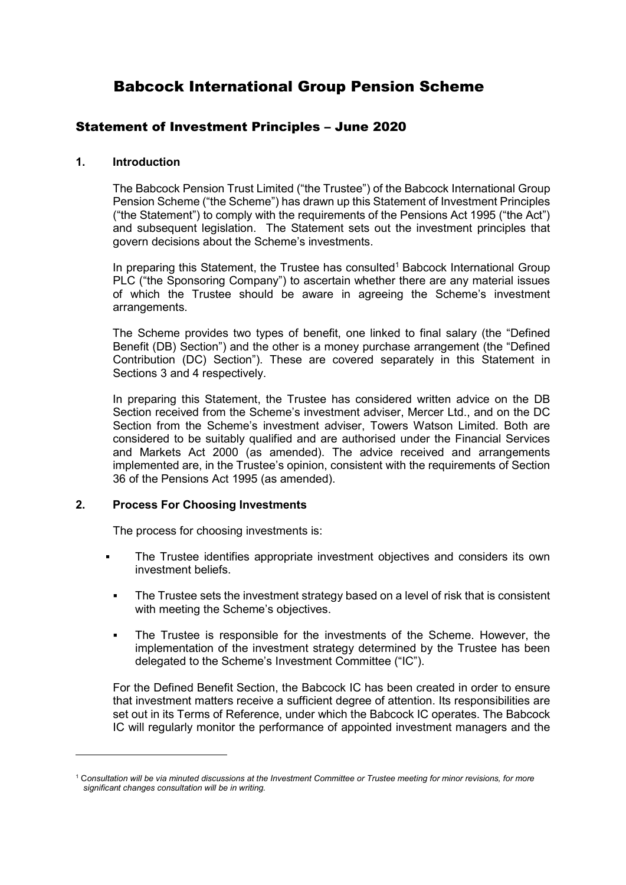# Babcock International Group Pension Scheme

## Statement of Investment Principles – June 2020

### 1. Introduction

The Babcock Pension Trust Limited ("the Trustee") of the Babcock International Group Pension Scheme ("the Scheme") has drawn up this Statement of Investment Principles ("the Statement") to comply with the requirements of the Pensions Act 1995 ("the Act") and subsequent legislation. The Statement sets out the investment principles that govern decisions about the Scheme's investments.

In preparing this Statement, the Trustee has consulted<sup>1</sup> Babcock International Group PLC ("the Sponsoring Company") to ascertain whether there are any material issues of which the Trustee should be aware in agreeing the Scheme's investment arrangements.

The Scheme provides two types of benefit, one linked to final salary (the "Defined Benefit (DB) Section") and the other is a money purchase arrangement (the "Defined Contribution (DC) Section"). These are covered separately in this Statement in Sections 3 and 4 respectively.

In preparing this Statement, the Trustee has considered written advice on the DB Section received from the Scheme's investment adviser, Mercer Ltd., and on the DC Section from the Scheme's investment adviser, Towers Watson Limited. Both are considered to be suitably qualified and are authorised under the Financial Services and Markets Act 2000 (as amended). The advice received and arrangements implemented are, in the Trustee's opinion, consistent with the requirements of Section 36 of the Pensions Act 1995 (as amended).

### 2. Process For Choosing Investments

-

The process for choosing investments is:

- The Trustee identifies appropriate investment objectives and considers its own investment beliefs.
- The Trustee sets the investment strategy based on a level of risk that is consistent with meeting the Scheme's objectives.
- The Trustee is responsible for the investments of the Scheme. However, the implementation of the investment strategy determined by the Trustee has been delegated to the Scheme's Investment Committee ("IC").

For the Defined Benefit Section, the Babcock IC has been created in order to ensure that investment matters receive a sufficient degree of attention. Its responsibilities are set out in its Terms of Reference, under which the Babcock IC operates. The Babcock IC will regularly monitor the performance of appointed investment managers and the

<sup>1</sup> Consultation will be via minuted discussions at the Investment Committee or Trustee meeting for minor revisions, for more significant changes consultation will be in writing.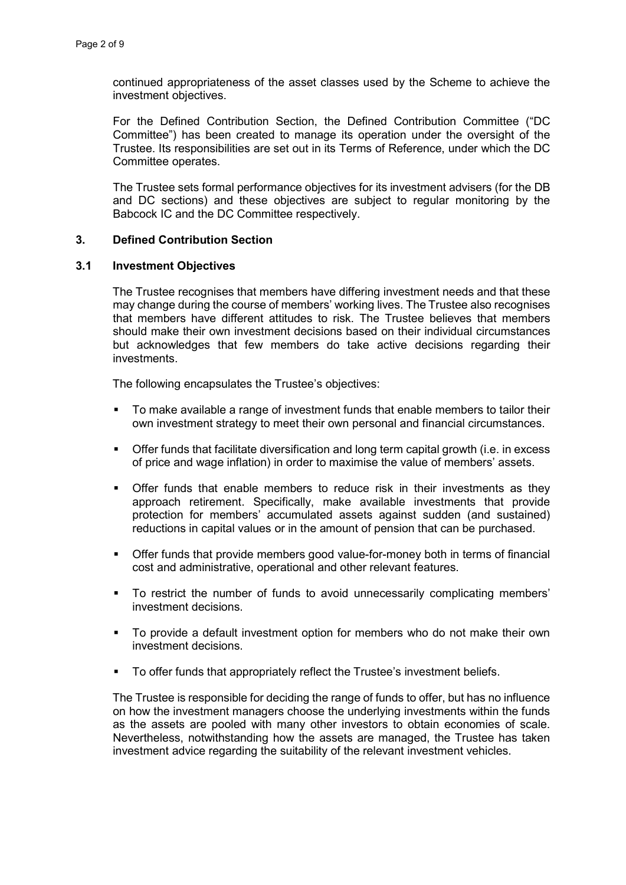continued appropriateness of the asset classes used by the Scheme to achieve the investment objectives.

For the Defined Contribution Section, the Defined Contribution Committee ("DC Committee") has been created to manage its operation under the oversight of the Trustee. Its responsibilities are set out in its Terms of Reference, under which the DC Committee operates.

The Trustee sets formal performance objectives for its investment advisers (for the DB and DC sections) and these objectives are subject to regular monitoring by the Babcock IC and the DC Committee respectively.

#### 3. Defined Contribution Section

#### 3.1 Investment Objectives

The Trustee recognises that members have differing investment needs and that these may change during the course of members' working lives. The Trustee also recognises that members have different attitudes to risk. The Trustee believes that members should make their own investment decisions based on their individual circumstances but acknowledges that few members do take active decisions regarding their investments.

The following encapsulates the Trustee's objectives:

- To make available a range of investment funds that enable members to tailor their own investment strategy to meet their own personal and financial circumstances.
- Offer funds that facilitate diversification and long term capital growth (i.e. in excess of price and wage inflation) in order to maximise the value of members' assets.
- Offer funds that enable members to reduce risk in their investments as they approach retirement. Specifically, make available investments that provide protection for members' accumulated assets against sudden (and sustained) reductions in capital values or in the amount of pension that can be purchased.
- Offer funds that provide members good value-for-money both in terms of financial cost and administrative, operational and other relevant features.
- To restrict the number of funds to avoid unnecessarily complicating members' investment decisions.
- To provide a default investment option for members who do not make their own investment decisions.
- **To offer funds that appropriately reflect the Trustee's investment beliefs.**

The Trustee is responsible for deciding the range of funds to offer, but has no influence on how the investment managers choose the underlying investments within the funds as the assets are pooled with many other investors to obtain economies of scale. Nevertheless, notwithstanding how the assets are managed, the Trustee has taken investment advice regarding the suitability of the relevant investment vehicles.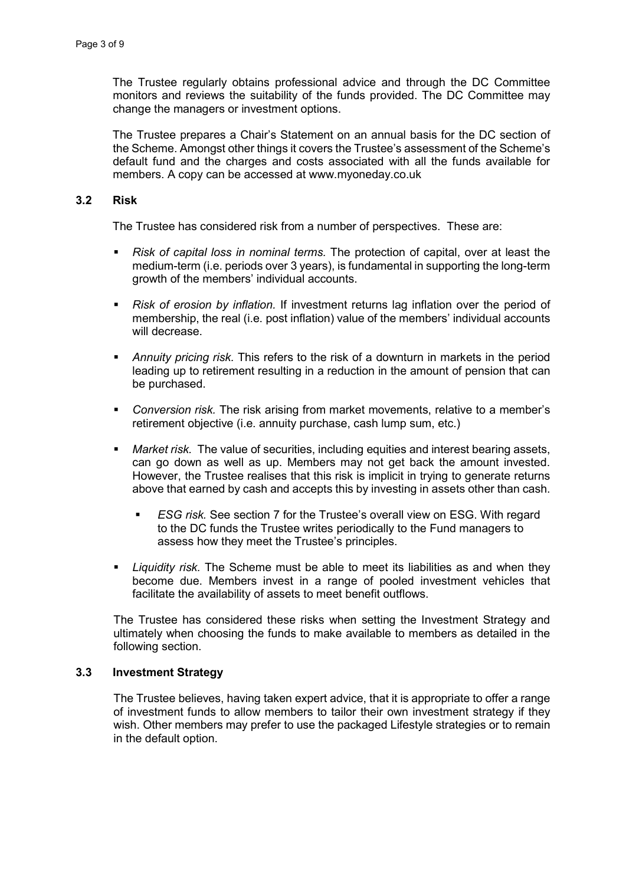The Trustee regularly obtains professional advice and through the DC Committee monitors and reviews the suitability of the funds provided. The DC Committee may change the managers or investment options.

The Trustee prepares a Chair's Statement on an annual basis for the DC section of the Scheme. Amongst other things it covers the Trustee's assessment of the Scheme's default fund and the charges and costs associated with all the funds available for members. A copy can be accessed at www.myoneday.co.uk

### 3.2 Risk

The Trustee has considered risk from a number of perspectives. These are:

- Risk of capital loss in nominal terms. The protection of capital, over at least the medium-term (i.e. periods over 3 years), is fundamental in supporting the long-term growth of the members' individual accounts.
- Risk of erosion by inflation. If investment returns lag inflation over the period of membership, the real (i.e. post inflation) value of the members' individual accounts will decrease.
- Annuity pricing risk. This refers to the risk of a downturn in markets in the period leading up to retirement resulting in a reduction in the amount of pension that can be purchased.
- Conversion risk. The risk arising from market movements, relative to a member's retirement objective (i.e. annuity purchase, cash lump sum, etc.)
- Market risk. The value of securities, including equities and interest bearing assets, can go down as well as up. Members may not get back the amount invested. However, the Trustee realises that this risk is implicit in trying to generate returns above that earned by cash and accepts this by investing in assets other than cash.
	- **ESG risk. See section 7 for the Trustee's overall view on ESG. With regard** to the DC funds the Trustee writes periodically to the Fund managers to assess how they meet the Trustee's principles.
- Liquidity risk. The Scheme must be able to meet its liabilities as and when they become due. Members invest in a range of pooled investment vehicles that facilitate the availability of assets to meet benefit outflows.

The Trustee has considered these risks when setting the Investment Strategy and ultimately when choosing the funds to make available to members as detailed in the following section.

### 3.3 Investment Strategy

The Trustee believes, having taken expert advice, that it is appropriate to offer a range of investment funds to allow members to tailor their own investment strategy if they wish. Other members may prefer to use the packaged Lifestyle strategies or to remain in the default option.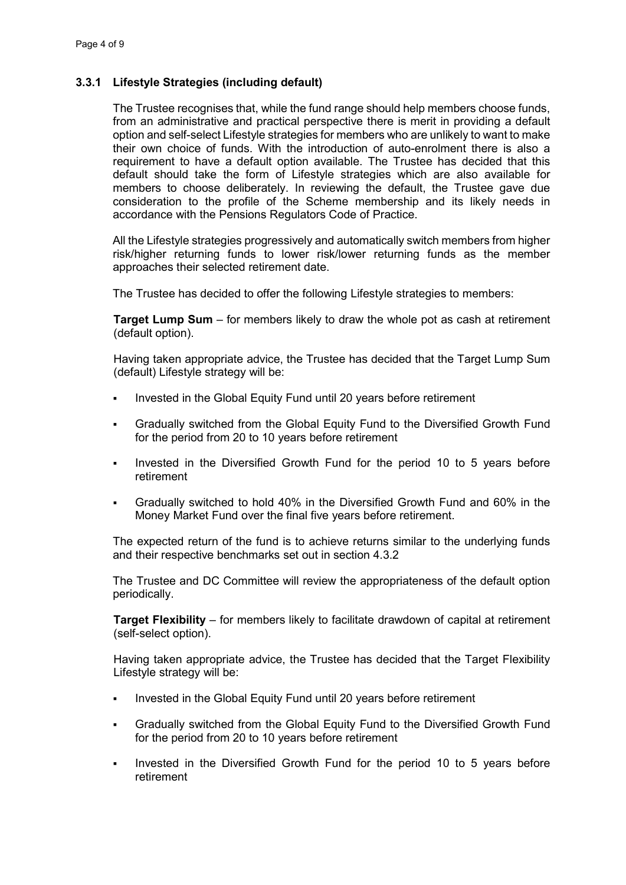### 3.3.1 Lifestyle Strategies (including default)

The Trustee recognises that, while the fund range should help members choose funds, from an administrative and practical perspective there is merit in providing a default option and self-select Lifestyle strategies for members who are unlikely to want to make their own choice of funds. With the introduction of auto-enrolment there is also a requirement to have a default option available. The Trustee has decided that this default should take the form of Lifestyle strategies which are also available for members to choose deliberately. In reviewing the default, the Trustee gave due consideration to the profile of the Scheme membership and its likely needs in accordance with the Pensions Regulators Code of Practice.

All the Lifestyle strategies progressively and automatically switch members from higher risk/higher returning funds to lower risk/lower returning funds as the member approaches their selected retirement date.

The Trustee has decided to offer the following Lifestyle strategies to members:

Target Lump Sum – for members likely to draw the whole pot as cash at retirement (default option).

Having taken appropriate advice, the Trustee has decided that the Target Lump Sum (default) Lifestyle strategy will be:

- Invested in the Global Equity Fund until 20 years before retirement
- Gradually switched from the Global Equity Fund to the Diversified Growth Fund for the period from 20 to 10 years before retirement
- Invested in the Diversified Growth Fund for the period 10 to 5 years before retirement
- Gradually switched to hold 40% in the Diversified Growth Fund and 60% in the Money Market Fund over the final five years before retirement.

The expected return of the fund is to achieve returns similar to the underlying funds and their respective benchmarks set out in section 4.3.2

The Trustee and DC Committee will review the appropriateness of the default option periodically.

Target Flexibility – for members likely to facilitate drawdown of capital at retirement (self-select option).

Having taken appropriate advice, the Trustee has decided that the Target Flexibility Lifestyle strategy will be:

- Invested in the Global Equity Fund until 20 years before retirement
- Gradually switched from the Global Equity Fund to the Diversified Growth Fund for the period from 20 to 10 years before retirement
- Invested in the Diversified Growth Fund for the period 10 to 5 years before retirement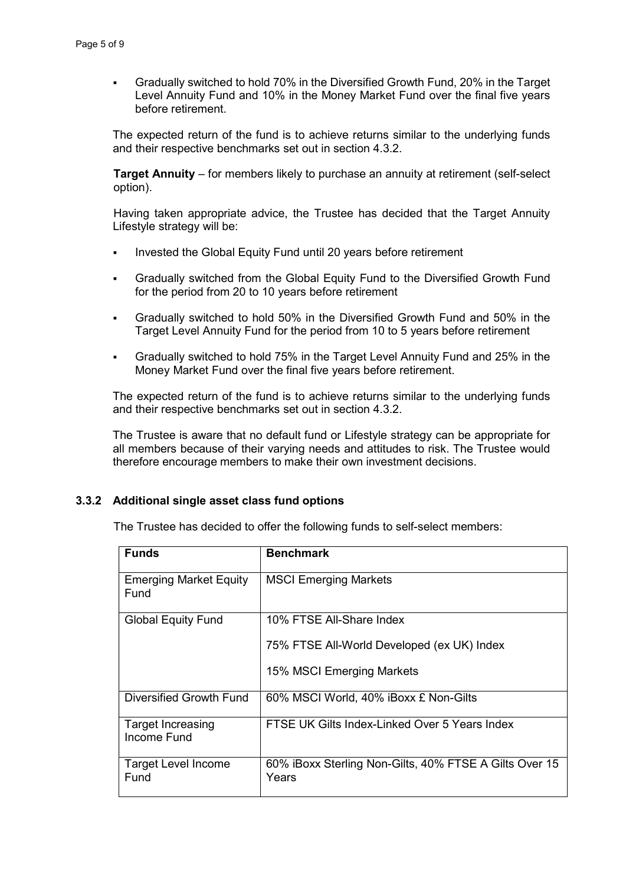Gradually switched to hold 70% in the Diversified Growth Fund, 20% in the Target Level Annuity Fund and 10% in the Money Market Fund over the final five years before retirement.

The expected return of the fund is to achieve returns similar to the underlying funds and their respective benchmarks set out in section 4.3.2.

Target Annuity – for members likely to purchase an annuity at retirement (self-select option).

Having taken appropriate advice, the Trustee has decided that the Target Annuity Lifestyle strategy will be:

- Invested the Global Equity Fund until 20 years before retirement
- Gradually switched from the Global Equity Fund to the Diversified Growth Fund for the period from 20 to 10 years before retirement
- Gradually switched to hold 50% in the Diversified Growth Fund and 50% in the Target Level Annuity Fund for the period from 10 to 5 years before retirement
- Gradually switched to hold 75% in the Target Level Annuity Fund and 25% in the Money Market Fund over the final five years before retirement.

The expected return of the fund is to achieve returns similar to the underlying funds and their respective benchmarks set out in section 4.3.2.

The Trustee is aware that no default fund or Lifestyle strategy can be appropriate for all members because of their varying needs and attitudes to risk. The Trustee would therefore encourage members to make their own investment decisions.

### 3.3.2 Additional single asset class fund options

The Trustee has decided to offer the following funds to self-select members:

| <b>Funds</b>                            | <b>Benchmark</b>                                                |
|-----------------------------------------|-----------------------------------------------------------------|
| <b>Emerging Market Equity</b><br>Fund   | <b>MSCI Emerging Markets</b>                                    |
| <b>Global Equity Fund</b>               | 10% FTSE All-Share Index                                        |
|                                         | 75% FTSE All-World Developed (ex UK) Index                      |
|                                         | 15% MSCI Emerging Markets                                       |
| Diversified Growth Fund                 | 60% MSCI World, 40% iBoxx £ Non-Gilts                           |
| <b>Target Increasing</b><br>Income Fund | FTSE UK Gilts Index-Linked Over 5 Years Index                   |
| <b>Target Level Income</b><br>Fund      | 60% iBoxx Sterling Non-Gilts, 40% FTSE A Gilts Over 15<br>Years |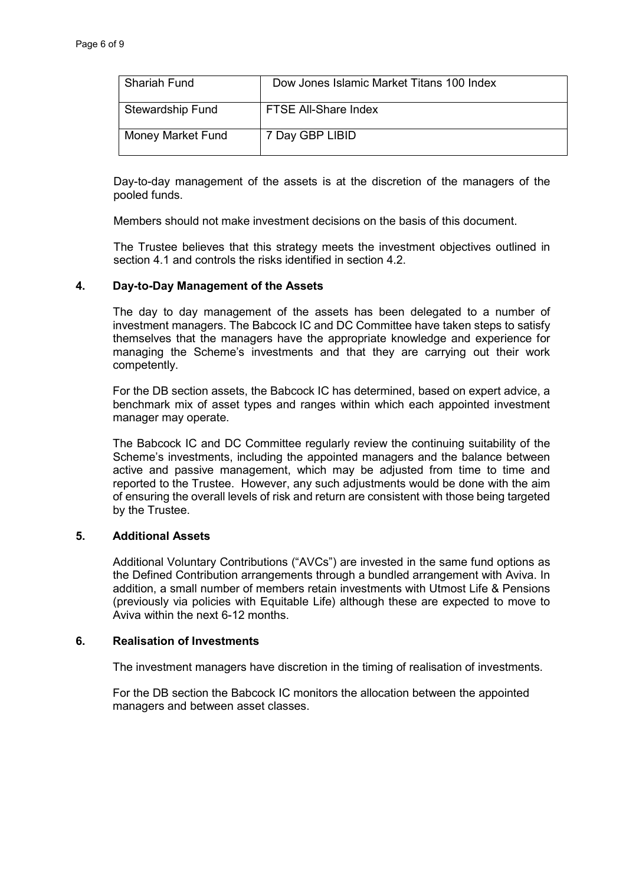| <b>Shariah Fund</b> | Dow Jones Islamic Market Titans 100 Index |
|---------------------|-------------------------------------------|
| Stewardship Fund    | FTSE All-Share Index                      |
| Money Market Fund   | 7 Day GBP LIBID                           |

Day-to-day management of the assets is at the discretion of the managers of the pooled funds.

Members should not make investment decisions on the basis of this document.

The Trustee believes that this strategy meets the investment objectives outlined in section 4.1 and controls the risks identified in section 4.2.

#### 4. Day-to-Day Management of the Assets

The day to day management of the assets has been delegated to a number of investment managers. The Babcock IC and DC Committee have taken steps to satisfy themselves that the managers have the appropriate knowledge and experience for managing the Scheme's investments and that they are carrying out their work competently.

For the DB section assets, the Babcock IC has determined, based on expert advice, a benchmark mix of asset types and ranges within which each appointed investment manager may operate.

The Babcock IC and DC Committee regularly review the continuing suitability of the Scheme's investments, including the appointed managers and the balance between active and passive management, which may be adjusted from time to time and reported to the Trustee. However, any such adjustments would be done with the aim of ensuring the overall levels of risk and return are consistent with those being targeted by the Trustee.

### 5. Additional Assets

Additional Voluntary Contributions ("AVCs") are invested in the same fund options as the Defined Contribution arrangements through a bundled arrangement with Aviva. In addition, a small number of members retain investments with Utmost Life & Pensions (previously via policies with Equitable Life) although these are expected to move to Aviva within the next 6-12 months.

#### 6. Realisation of Investments

The investment managers have discretion in the timing of realisation of investments.

For the DB section the Babcock IC monitors the allocation between the appointed managers and between asset classes.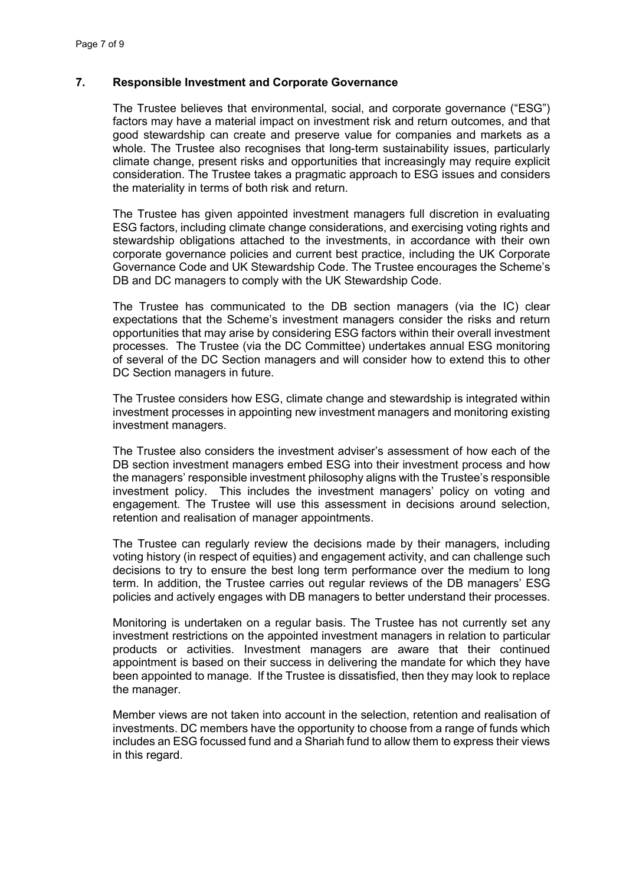### 7. Responsible Investment and Corporate Governance

The Trustee believes that environmental, social, and corporate governance ("ESG") factors may have a material impact on investment risk and return outcomes, and that good stewardship can create and preserve value for companies and markets as a whole. The Trustee also recognises that long-term sustainability issues, particularly climate change, present risks and opportunities that increasingly may require explicit consideration. The Trustee takes a pragmatic approach to ESG issues and considers the materiality in terms of both risk and return.

The Trustee has given appointed investment managers full discretion in evaluating ESG factors, including climate change considerations, and exercising voting rights and stewardship obligations attached to the investments, in accordance with their own corporate governance policies and current best practice, including the UK Corporate Governance Code and UK Stewardship Code. The Trustee encourages the Scheme's DB and DC managers to comply with the UK Stewardship Code.

The Trustee has communicated to the DB section managers (via the IC) clear expectations that the Scheme's investment managers consider the risks and return opportunities that may arise by considering ESG factors within their overall investment processes. The Trustee (via the DC Committee) undertakes annual ESG monitoring of several of the DC Section managers and will consider how to extend this to other DC Section managers in future.

The Trustee considers how ESG, climate change and stewardship is integrated within investment processes in appointing new investment managers and monitoring existing investment managers.

The Trustee also considers the investment adviser's assessment of how each of the DB section investment managers embed ESG into their investment process and how the managers' responsible investment philosophy aligns with the Trustee's responsible investment policy. This includes the investment managers' policy on voting and engagement. The Trustee will use this assessment in decisions around selection, retention and realisation of manager appointments.

The Trustee can regularly review the decisions made by their managers, including voting history (in respect of equities) and engagement activity, and can challenge such decisions to try to ensure the best long term performance over the medium to long term. In addition, the Trustee carries out regular reviews of the DB managers' ESG policies and actively engages with DB managers to better understand their processes.

Monitoring is undertaken on a regular basis. The Trustee has not currently set any investment restrictions on the appointed investment managers in relation to particular products or activities. Investment managers are aware that their continued appointment is based on their success in delivering the mandate for which they have been appointed to manage. If the Trustee is dissatisfied, then they may look to replace the manager.

Member views are not taken into account in the selection, retention and realisation of investments. DC members have the opportunity to choose from a range of funds which includes an ESG focussed fund and a Shariah fund to allow them to express their views in this regard.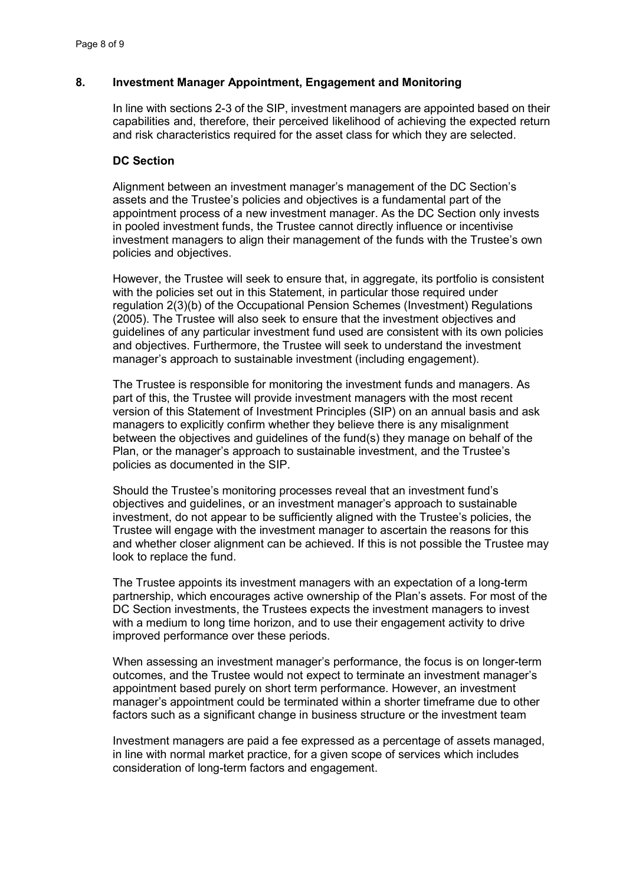### 8. Investment Manager Appointment, Engagement and Monitoring

In line with sections 2-3 of the SIP, investment managers are appointed based on their capabilities and, therefore, their perceived likelihood of achieving the expected return and risk characteristics required for the asset class for which they are selected.

### DC Section

Alignment between an investment manager's management of the DC Section's assets and the Trustee's policies and objectives is a fundamental part of the appointment process of a new investment manager. As the DC Section only invests in pooled investment funds, the Trustee cannot directly influence or incentivise investment managers to align their management of the funds with the Trustee's own policies and objectives.

However, the Trustee will seek to ensure that, in aggregate, its portfolio is consistent with the policies set out in this Statement, in particular those required under regulation 2(3)(b) of the Occupational Pension Schemes (Investment) Regulations (2005). The Trustee will also seek to ensure that the investment objectives and guidelines of any particular investment fund used are consistent with its own policies and objectives. Furthermore, the Trustee will seek to understand the investment manager's approach to sustainable investment (including engagement).

The Trustee is responsible for monitoring the investment funds and managers. As part of this, the Trustee will provide investment managers with the most recent version of this Statement of Investment Principles (SIP) on an annual basis and ask managers to explicitly confirm whether they believe there is any misalignment between the objectives and guidelines of the fund(s) they manage on behalf of the Plan, or the manager's approach to sustainable investment, and the Trustee's policies as documented in the SIP.

Should the Trustee's monitoring processes reveal that an investment fund's objectives and guidelines, or an investment manager's approach to sustainable investment, do not appear to be sufficiently aligned with the Trustee's policies, the Trustee will engage with the investment manager to ascertain the reasons for this and whether closer alignment can be achieved. If this is not possible the Trustee may look to replace the fund.

The Trustee appoints its investment managers with an expectation of a long-term partnership, which encourages active ownership of the Plan's assets. For most of the DC Section investments, the Trustees expects the investment managers to invest with a medium to long time horizon, and to use their engagement activity to drive improved performance over these periods.

When assessing an investment manager's performance, the focus is on longer-term outcomes, and the Trustee would not expect to terminate an investment manager's appointment based purely on short term performance. However, an investment manager's appointment could be terminated within a shorter timeframe due to other factors such as a significant change in business structure or the investment team

Investment managers are paid a fee expressed as a percentage of assets managed, in line with normal market practice, for a given scope of services which includes consideration of long-term factors and engagement.